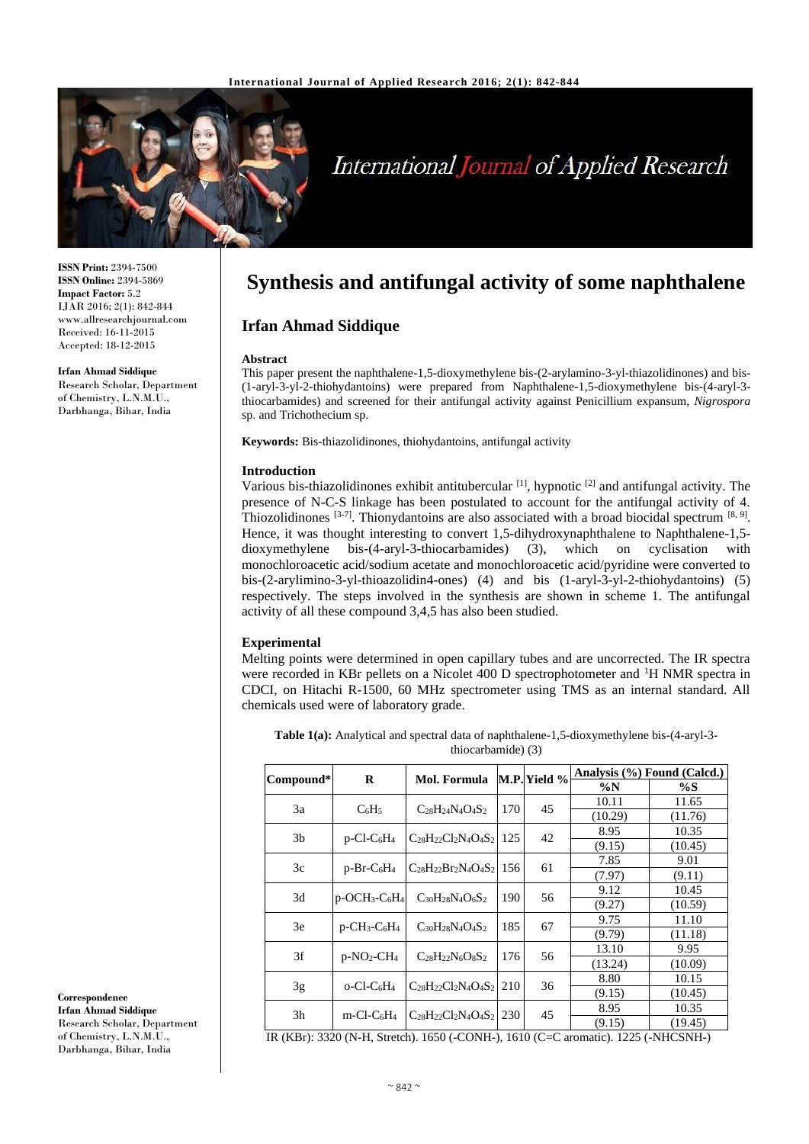

# International Journal of Applied Research

**ISSN Print:** 2394-7500 **ISSN Online:** 2394-5869 **Impact Factor:** 5.2 IJAR 2016; 2(1): 842-844 www.allresearchjournal.com Received: 16-11-2015 Accepted: 18-12-2015

#### **Irfan Ahmad Siddique**

Research Scholar, Department of Chemistry, L.N.M.U., Darbhanga, Bihar, India

**Synthesis and antifungal activity of some naphthalene**

# **Irfan Ahmad Siddique**

#### **Abstract**

This paper present the naphthalene-1,5-dioxymethylene bis-(2-arylamino-3-yl-thiazolidinones) and bis- (1-aryl-3-yl-2-thiohydantoins) were prepared from Naphthalene-1,5-dioxymethylene bis-(4-aryl-3 thiocarbamides) and screened for their antifungal activity against Penicillium expansum, *Nigrospora* sp. and Trichothecium sp.

**Keywords:** Bis-thiazolidinones, thiohydantoins, antifungal activity

#### **Introduction**

Various bis-thiazolidinones exhibit antitubercular  $[1]$ , hypnotic  $[2]$  and antifungal activity. The presence of N-C-S linkage has been postulated to account for the antifungal activity of 4. Thiozolidinones  $[3-7]$ . Thionydantoins are also associated with a broad biocidal spectrum  $[8, 9]$ . Hence, it was thought interesting to convert 1,5-dihydroxynaphthalene to Naphthalene-1,5 dioxymethylene bis-(4-aryl-3-thiocarbamides) (3), which on cyclisation with monochloroacetic acid/sodium acetate and monochloroacetic acid/pyridine were converted to bis-(2-arylimino-3-yl-thioazolidin4-ones) (4) and bis (1-aryl-3-yl-2-thiohydantoins) (5) respectively. The steps involved in the synthesis are shown in scheme 1. The antifungal activity of all these compound 3,4,5 has also been studied.

#### **Experimental**

Melting points were determined in open capillary tubes and are uncorrected. The IR spectra were recorded in KBr pellets on a Nicolet 400 D spectrophotometer and <sup>1</sup>H NMR spectra in CDCI, on Hitachi R-1500, 60 MHz spectrometer using TMS as an internal standard. All chemicals used were of laboratory grade.

**Table 1(a):** Analytical and spectral data of naphthalene-1,5-dioxymethylene bis-(4-aryl-3 thiocarbamide) (3)

|                | R                                                    | M.P. Yield %<br><b>Mol. Formula</b> |     | Analysis (%) Found (Calcd.) |         |         |
|----------------|------------------------------------------------------|-------------------------------------|-----|-----------------------------|---------|---------|
| Compound*      |                                                      |                                     |     |                             | $\%N$   | $\%S$   |
| 3a             |                                                      |                                     | 170 |                             | 10.11   | 11.65   |
|                | $C_6H_5$                                             | $C_{28}H_{24}N_{4}O_{4}S_{2}$       |     | 45                          | (10.29) | (11.76) |
| 3 <sub>b</sub> | $p$ -Cl-C <sub>6</sub> H <sub>4</sub>                | $C_{28}H_{22}Cl_2N_4O_4S_2$         | 125 | 42                          | 8.95    | 10.35   |
|                |                                                      |                                     |     |                             | (9.15)  | (10.45) |
| 3c             | $p-Br-C6H4$                                          | $C_{28}H_{22}Br_2N_4O_4S_2$ 156     |     | 61                          | 7.85    | 9.01    |
|                |                                                      |                                     |     |                             | (7.97)  | (9.11)  |
| 3d             | $p$ -OCH <sub>3</sub> -C <sub>6</sub> H <sub>4</sub> | $C_{30}H_{28}N_{4}O_{6}S_{2}$       | 190 | 56                          | 9.12    | 10.45   |
|                |                                                      |                                     |     |                             | (9.27)  | (10.59) |
| 3e             | $p$ -CH <sub>3</sub> -C <sub>6</sub> H <sub>4</sub>  | $C_{30}H_{28}N_{4}O_{4}S_{2}$       | 185 | 67                          | 9.75    | 11.10   |
|                |                                                      |                                     |     |                             | (9.79)  | (11.18) |
| 3f             | $p-NO_2-CH_4$                                        | $C_{28}H_{22}N_6O_8S_2$             | 176 | 56                          | 13.10   | 9.95    |
|                |                                                      |                                     |     |                             | (13.24) | (10.09) |
|                |                                                      | $C_{28}H_{22}Cl_2N_4O_4S_2$         | 210 | 36                          | 8.80    | 10.15   |
| 3g             | $O-Cl-C6H4$                                          |                                     |     |                             | (9.15)  | (10.45) |
| 3h             | $m$ -Cl-C <sub>6</sub> H <sub>4</sub>                | $C_{28}H_{22}Cl_2N_4O_4S_2$   230   |     | 45                          | 8.95    | 10.35   |
|                |                                                      |                                     |     |                             | (9.15)  | (19.45) |

IR (KBr): 3320 (N-H, Stretch). 1650 (-CONH-), 1610 (C=C aromatic). 1225 (-NHCSNH-)

**Correspondence**

**Irfan Ahmad Siddique** Research Scholar, Department of Chemistry, L.N.M.U., Darbhanga, Bihar, India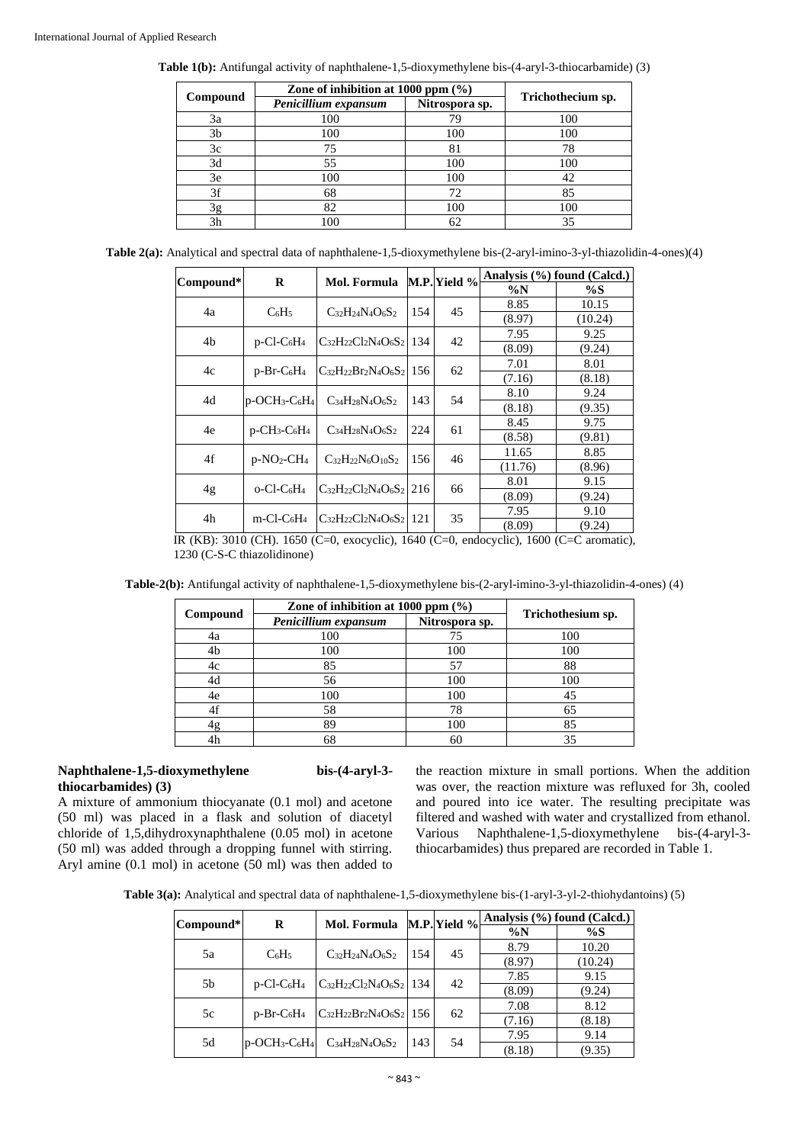**Table 1(b):** Antifungal activity of naphthalene-1,5-dioxymethylene bis-(4-aryl-3-thiocarbamide) (3)

|          | Zone of inhibition at $1000$ ppm $(\% )$ |     |                   |
|----------|------------------------------------------|-----|-------------------|
| Compound | Penicillium expansum<br>Nitrospora sp.   |     | Trichothecium sp. |
| 3a       | 100                                      | 79  | 100               |
| 3b       | 100                                      | 100 | 100               |
| 3c       | 75                                       | 81  | 78                |
| 3d       | 55                                       | 100 | 100               |
| 3e       | 100                                      | 100 | 42                |
| 3f       | 68                                       | 72  | 85                |
| 3g       | 82                                       | 100 | 100               |
| 3h       | 100                                      | 62  | 35                |

**Table 2(a):** Analytical and spectral data of naphthalene-1,5-dioxymethylene bis-(2-aryl-imino-3-yl-thiazolidin-4-ones)(4)

|           | R                                                    | Mol. Formula M.P. Yield %         |                                       |      | Analysis (%) found (Calcd.) |         |
|-----------|------------------------------------------------------|-----------------------------------|---------------------------------------|------|-----------------------------|---------|
| Compound* |                                                      |                                   |                                       |      | $\%N$                       | $\%S$   |
| 4a        |                                                      |                                   |                                       | 45   | 8.85                        | 10.15   |
|           | $C_6H_5$                                             | $C_{32}H_{24}N_{4}O_{6}S_{2}$     | 154                                   |      | (8.97)                      | (10.24) |
| 4b        |                                                      | $C_{32}H_{22}Cl_2N_4O_6S_2$ 134   |                                       | 42   | 7.95                        | 9.25    |
|           | $p$ -Cl-C <sub>6</sub> H <sub>4</sub>                |                                   |                                       |      | (8.09)                      | (9.24)  |
| 4c        |                                                      |                                   | 62<br>$C_{32}H_{22}Br_2N_4O_6S_2$ 156 | 7.01 | 8.01                        |         |
|           | $p-Br-C6H4$                                          |                                   |                                       |      | (7.16)                      | (8.18)  |
| 4d        | $p$ -OCH <sub>3</sub> -C <sub>6</sub> H <sub>4</sub> | $C_{34}H_{28}N_{4}O_{6}S_{2}$     | 143                                   | 54   | 8.10                        | 9.24    |
|           |                                                      |                                   |                                       |      | (8.18)                      | (9.35)  |
| 4e        | $p$ -CH <sub>3</sub> -C <sub>6</sub> H <sub>4</sub>  | $C_{34}H_{28}N_{4}O_{6}S_{2}$     | 224                                   | 61   | 8.45                        | 9.75    |
|           |                                                      |                                   |                                       |      | (8.58)                      | (9.81)  |
| 4f        | $p-NO_2-CH_4$                                        | $C_{32}H_{22}N_6O_{10}S_2$        | 156                                   | 46   | 11.65                       | 8.85    |
|           |                                                      |                                   |                                       |      | (11.76)                     | (8.96)  |
|           |                                                      | $C_{32}H_{22}Cl_2N_4O_6S_2$ 216   |                                       | 66   | 8.01                        | 9.15    |
| 4g        | $o$ -Cl-C <sub>6</sub> H <sub>4</sub>                |                                   |                                       |      | (8.09)                      | (9.24)  |
|           |                                                      | $C_{32}H_{22}Cl_2N_4O_6S_2$   121 |                                       | 35   | 7.95                        | 9.10    |
| 4h        | $m$ -Cl-C <sub>6</sub> H <sub>4</sub>                |                                   |                                       |      | (8.09)                      | (9.24)  |

IR (KB): 3010 (CH). 1650 (C=0, exocyclic), 1640 (C=0, endocyclic), 1600 (C=C aromatic), 1230 (C-S-C thiazolidinone)

|  |  |  |  | Table-2(b): Antifungal activity of naphthalene-1,5-dioxymethylene bis-(2-aryl-imino-3-yl-thiazolidin-4-ones) (4) |
|--|--|--|--|------------------------------------------------------------------------------------------------------------------|
|--|--|--|--|------------------------------------------------------------------------------------------------------------------|

|          | Zone of inhibition at 1000 ppm (%)     |     |                   |  |
|----------|----------------------------------------|-----|-------------------|--|
| Compound | Penicillium expansum<br>Nitrospora sp. |     | Trichothesium sp. |  |
| 4a       | 100                                    | 75  | 100               |  |
| 4b       | 100                                    | 100 | 100               |  |
| 4c       | 85                                     | 57  | 88                |  |
| 4d       | 56                                     | 100 | 100               |  |
| 4e       | 100                                    | 100 | 45                |  |
| 4f       | 58                                     | 78  | 65                |  |
| 4g       | 89                                     | 100 | 85                |  |
| 4h       |                                        | 60  | 35                |  |

#### **Naphthalene-1,5-dioxymethylene bis-(4-aryl-3 thiocarbamides) (3)**

A mixture of ammonium thiocyanate (0.1 mol) and acetone (50 ml) was placed in a flask and solution of diacetyl chloride of 1,5,dihydroxynaphthalene (0.05 mol) in acetone (50 ml) was added through a dropping funnel with stirring. Aryl amine (0.1 mol) in acetone (50 ml) was then added to the reaction mixture in small portions. When the addition was over, the reaction mixture was refluxed for 3h, cooled and poured into ice water. The resulting precipitate was filtered and washed with water and crystallized from ethanol. Various Naphthalene-1,5-dioxymethylene bis-(4-aryl-3 thiocarbamides) thus prepared are recorded in Table 1.

**Table 3(a):** Analytical and spectral data of naphthalene-1,5-dioxymethylene bis-(1-aryl-3-yl-2-thiohydantoins) (5)

|           | R                                                    | Mol. Formula M.P. Yield %                     |           |        | Analysis (%) found (Calcd.) |        |
|-----------|------------------------------------------------------|-----------------------------------------------|-----------|--------|-----------------------------|--------|
| Compound* |                                                      |                                               |           |        | $\%N$                       | $\%S$  |
| 5a        | $C_6H_5$                                             | $C_{32}H_{24}N_{4}O_{6}S_{2}$                 |           |        | 8.79                        | 10.20  |
|           |                                                      |                                               | 45<br>154 | (8.97) | (10.24)                     |        |
| 5b        |                                                      | $C_{32}H_{22}Cl_2N_4O_6S_2$ 134               |           | 42     | 7.85                        | 9.15   |
|           | $p$ -Cl-C <sub>6</sub> H <sub>4</sub>                |                                               |           |        | (8.09)                      | (9.24) |
| 5c        |                                                      | $p-Br-C_6H_4$ $C_{32}H_{22}Br_2N_4O_6S_2$ 156 |           |        | 7.08                        | 8.12   |
|           |                                                      |                                               | 62        | (7.16) | (8.18)                      |        |
| 5d        | $p$ -OCH <sub>3</sub> -C <sub>6</sub> H <sub>4</sub> |                                               | 143       | 54     | 7.95                        | 9.14   |
|           |                                                      | $C_{34}H_{28}N_{4}O_{6}S_{2}$                 |           |        | (8.18)                      | (9.35) |